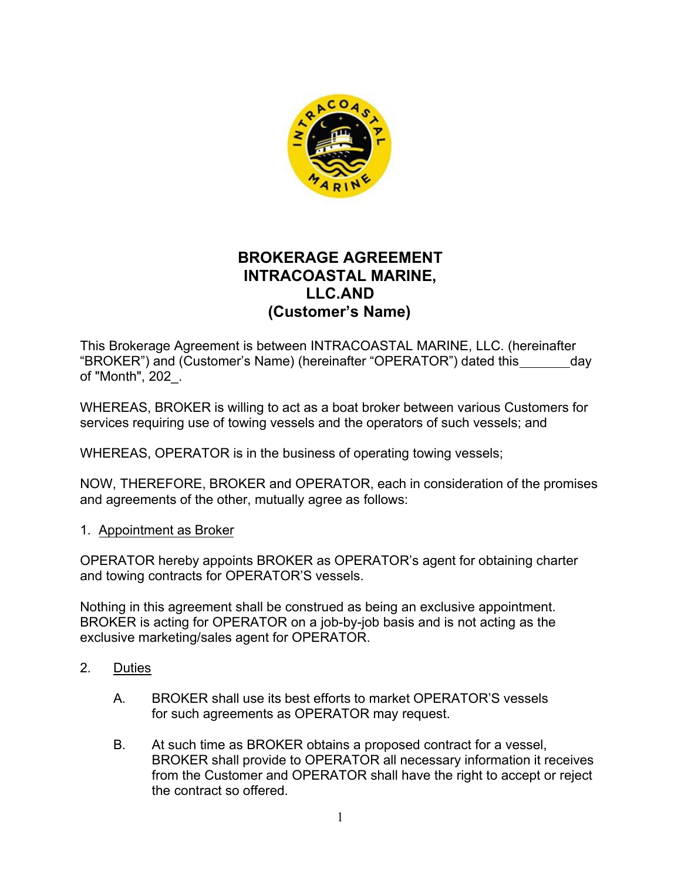

## **BROKERAGE AGREEMENT INTRACOASTAL MARINE, LLC. AND (Customer's Name)**

"BROKER") and (Customer's Name) (hereinafter "OPERATOR") dated this\_\_\_\_\_\_\_\_day This Brokerage Agreement is between INTRACOASTAL MARINE, LLC. (hereinafter of "Month", 202\_.

WHEREAS, BROKER is willing to act as a boat broker between various Customers for services requiring use of towing vessels and the operators of such vessels; and

WHEREAS, OPERATOR is in the business of operating towing vessels;

NOW, THEREFORE, BROKER and OPERATOR, each in consideration of the promises and agreements of the other, mutually agree as follows:

### 1. Appointment as Broker

OPERATOR hereby appoints BROKER as OPERATOR's agent for obtaining charter and towing contracts for OPERATOR'S vessels.

Nothing in this agreement shall be construed as being an exclusive appointment. BROKER is acting for OPERATOR on a job-by-job basis and is not acting as the exclusive marketing/sales agent for OPERATOR.

- 2. Duties
	- A. BROKER shall use its best efforts to market OPERATOR'S vessels for such agreements as OPERATOR may request.
	- B. At such time as BROKER obtains a proposed contract for a vessel, BROKER shall provide to OPERATOR all necessary information it receives from the Customer and OPERATOR shall have the right to accept or reject the contract so offered.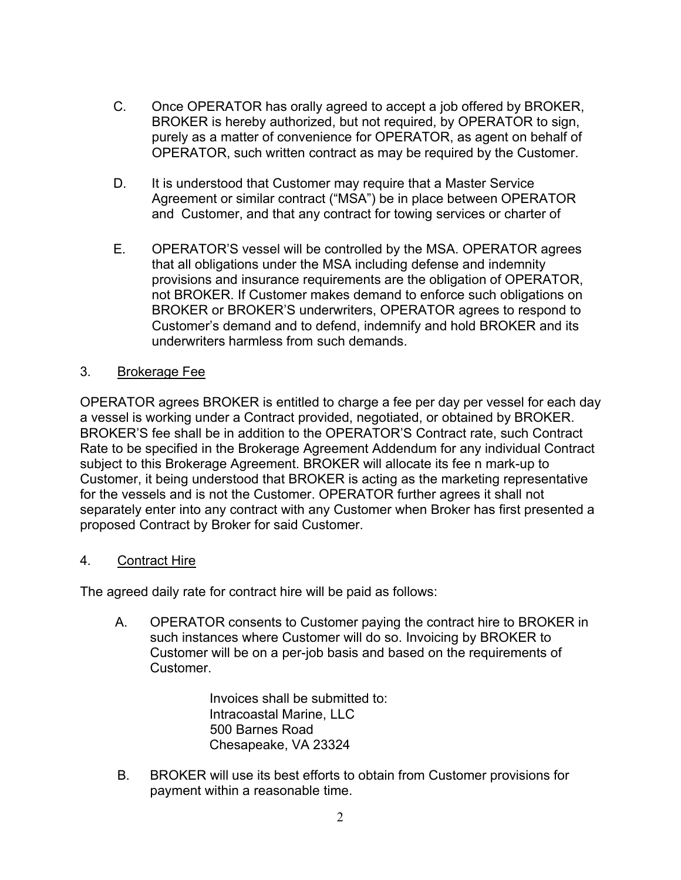- C. Once OPERATOR has orally agreed to accept a job offered by BROKER, BROKER is hereby authorized, but not required, by OPERATOR to sign, purely as a matter of convenience for OPERATOR, as agent on behalf of OPERATOR, such written contract as may be required by the Customer.
- D. It is understood that Customer may require that a Master Service Agreement or similar contract ("MSA") be in place between OPERATOR and Customer, and that any contract for towing services or charter of
- E. OPERATOR'S vessel will be controlled by the MSA. OPERATOR agrees that all obligations under the MSA including defense and indemnity provisions and insurance requirements are the obligation of OPERATOR, not BROKER. If Customer makes demand to enforce such obligations on BROKER or BROKER'S underwriters, OPERATOR agrees to respond to Customer's demand and to defend, indemnify and hold BROKER and its underwriters harmless from such demands.

### 3. Brokerage Fee

OPERATOR agrees BROKER is entitled to charge a fee per day per vessel for each day a vessel is working under a Contract provided, negotiated, or obtained by BROKER. BROKER'S fee shall be in addition to the OPERATOR'S Contract rate, such Contract Rate to be specified in the Brokerage Agreement Addendum for any individual Contract subject to this Brokerage Agreement. BROKER will allocate its fee n mark-up to Customer, it being understood that BROKER is acting as the marketing representative for the vessels and is not the Customer. OPERATOR further agrees it shall not separately enter into any contract with any Customer when Broker has first presented a proposed Contract by Broker for said Customer.

### 4. Contract Hire

The agreed daily rate for contract hire will be paid as follows:

A. OPERATOR consents to Customer paying the contract hire to BROKER in such instances where Customer will do so. Invoicing by BROKER to Customer will be on a per-job basis and based on the requirements of **Customer** 

> Invoices shall be submitted to: Intracoastal Marine, LLC 500 Barnes Road Chesapeake, VA 23324

B. BROKER will use its best efforts to obtain from Customer provisions for payment within a reasonable time.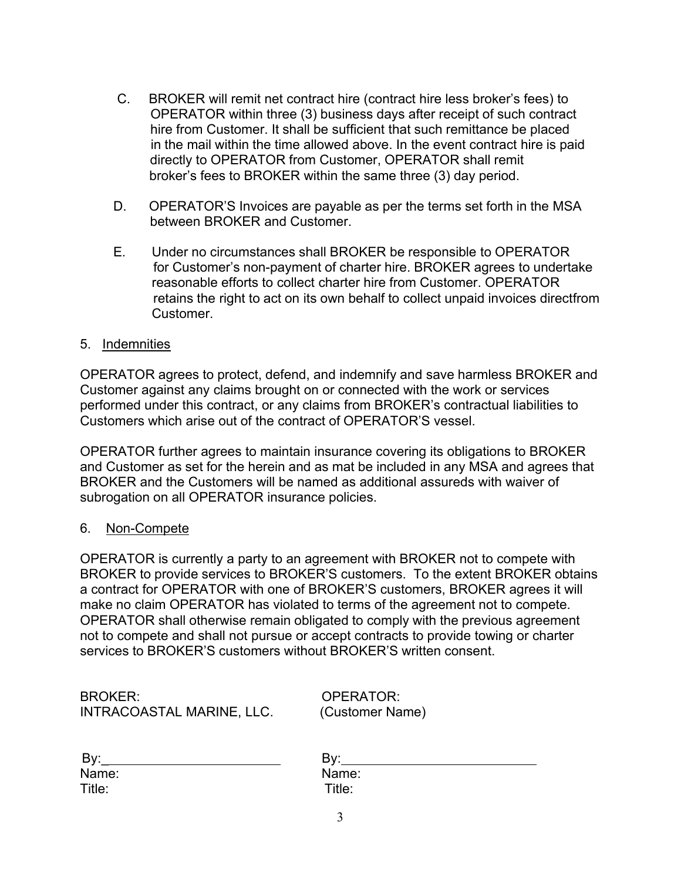- C. BROKER will remit net contract hire (contract hire less broker's fees) to OPERATOR within three (3) business days after receipt of such contract hire from Customer. It shall be sufficient that such remittance be placed in the mail within the time allowed above. In the event contract hire is paid directly to OPERATOR from Customer, OPERATOR shall remit broker's fees to BROKER within the same three (3) day period.
- D. OPERATOR'S Invoices are payable as per the terms set forth in the MSA between BROKER and Customer.
- E. Under no circumstances shall BROKER be responsible to OPERATOR for Customer's non-payment of charter hire. BROKER agrees to undertake reasonable efforts to collect charter hire from Customer. OPERATOR retains the right to act on its own behalf to collect unpaid invoices directfrom Customer.

### 5. Indemnities

OPERATOR agrees to protect, defend, and indemnify and save harmless BROKER and Customer against any claims brought on or connected with the work or services performed under this contract, or any claims from BROKER's contractual liabilities to Customers which arise out of the contract of OPERATOR'S vessel.

OPERATOR further agrees to maintain insurance covering its obligations to BROKER and Customer as set for the herein and as mat be included in any MSA and agrees that BROKER and the Customers will be named as additional assureds with waiver of subrogation on all OPERATOR insurance policies.

#### 6. Non-Compete

OPERATOR is currently a party to an agreement with BROKER not to compete with BROKER to provide services to BROKER'S customers. To the extent BROKER obtains a contract for OPERATOR with one of BROKER'S customers, BROKER agrees it will make no claim OPERATOR has violated to terms of the agreement not to compete. OPERATOR shall otherwise remain obligated to comply with the previous agreement not to compete and shall not pursue or accept contracts to provide towing or charter services to BROKER'S customers without BROKER'S written consent.

BROKER: OPERATOR: INTRACOASTAL MARINE, LLC. (Customer Name)

| By:    | Bv:    |
|--------|--------|
| Name:  | Name   |
| Title: | Title: |

Name: